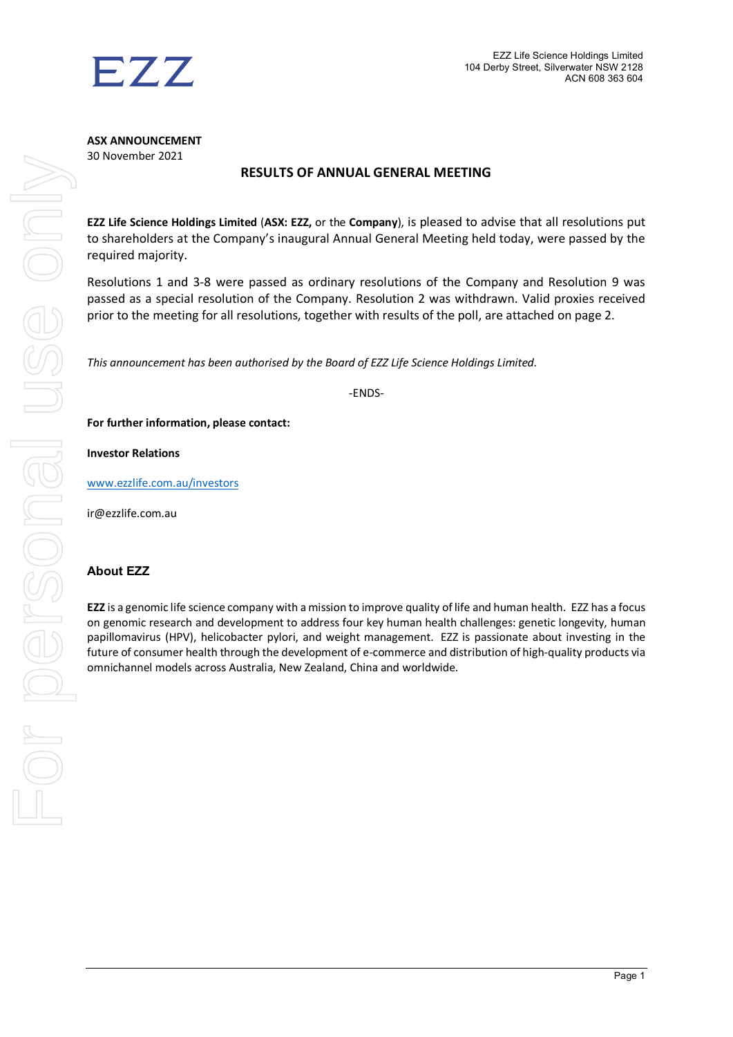

**ASX ANNOUNCEMENT** 30 November 2021

## **RESULTS OF ANNUAL GENERAL MEETING**

**EZZ Life Science Holdings Limited** (**ASX: EZZ,** or the **Company**), is pleased to advise that all resolutions put to shareholders at the Company's inaugural Annual General Meeting held today, were passed by the required majority.

Resolutions 1 and 3-8 were passed as ordinary resolutions of the Company and Resolution 9 was passed as a special resolution of the Company. Resolution 2 was withdrawn. Valid proxies received prior to the meeting for all resolutions, together with results of the poll, are attached on page 2.

*This announcement has been authorised by the Board of EZZ Life Science Holdings Limited.*

-ENDS-

**For further information, please contact:**

**Investor Relations**

[www.ezzlife.com.au/investors](http://www.ezzlife.com.au/investors)

ir@ezzlife.com.au

## **About EZZ**

**EZZ** is a genomic life science company with a mission to improve quality of life and human health. EZZ has a focus on genomic research and development to address four key human health challenges: genetic longevity, human papillomavirus (HPV), helicobacter pylori, and weight management. EZZ is passionate about investing in the future of consumer health through the development of e-commerce and distribution of high-quality products via omnichannel models across Australia, New Zealand, China and worldwide.